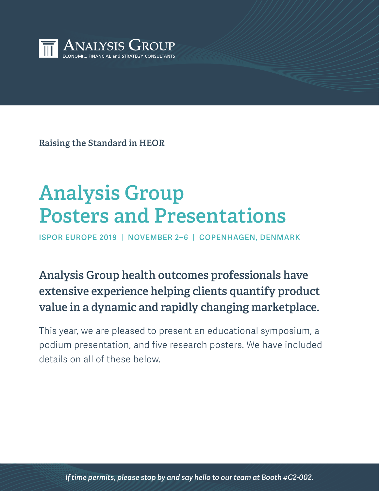

**Raising the Standard in HEOR**

# **Analysis Group Posters and Presentations**

**ISPOR EUROPE 2019** | **NOVEMBER 2–6** | **COPENHAGEN, DENMARK**

# **Analysis Group health outcomes professionals have extensive experience helping clients quantify product value in a dynamic and rapidly changing marketplace.**

This year, we are pleased to present an educational symposium, a podium presentation, and five research posters. We have included details on all of these below.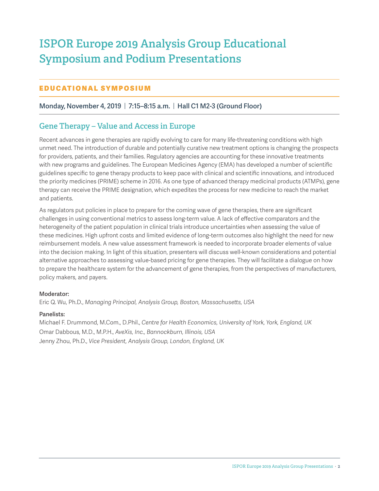# **ISPOR Europe 2019 Analysis Group Educational Symposium and Podium Presentations**

### E DUCATIONAL SYMPOSIUM

#### **Monday, November 4, 2019** | **7:15–8:15 a.m.** | **Hall C1 M2-3 (Ground Floor)**

# **Gene Therapy – Value and Access in Europe**

Recent advances in gene therapies are rapidly evolving to care for many life-threatening conditions with high unmet need. The introduction of durable and potentially curative new treatment options is changing the prospects for providers, patients, and their families. Regulatory agencies are accounting for these innovative treatments with new programs and guidelines. The European Medicines Agency (EMA) has developed a number of scientific guidelines specific to gene therapy products to keep pace with clinical and scientific innovations, and introduced the priority medicines (PRIME) scheme in 2016. As one type of advanced therapy medicinal products (ATMPs), gene therapy can receive the PRIME designation, which expedites the process for new medicine to reach the market and patients.

As regulators put policies in place to prepare for the coming wave of gene therapies, there are significant challenges in using conventional metrics to assess long-term value. A lack of effective comparators and the heterogeneity of the patient population in clinical trials introduce uncertainties when assessing the value of these medicines. High upfront costs and limited evidence of long-term outcomes also highlight the need for new reimbursement models. A new value assessment framework is needed to incorporate broader elements of value into the decision making. In light of this situation, presenters will discuss well-known considerations and potential alternative approaches to assessing value-based pricing for gene therapies. They will facilitate a dialogue on how to prepare the healthcare system for the advancement of gene therapies, from the perspectives of manufacturers, policy makers, and payers.

#### **Moderator:**

Eric Q. Wu, Ph.D., *Managing Principal, Analysis Group, Boston, Massachusetts, USA*

#### **Panelists:**

Michael F. Drummond, M.Com., D.Phil., *Centre for Health Economics, University of York, York, England, UK* Omar Dabbous, M.D., M.P.H., *AveXis, Inc., Bannockburn, Illinois, USA* Jenny Zhou, Ph.D., *Vice President, Analysis Group, London, England, UK*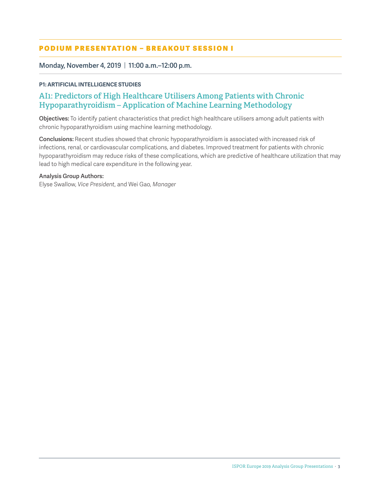### PODIUM PRESENTATION - BREAKOUT SESSION I

**Monday, November 4, 2019** | **11:00 a.m.–12:00 p.m.**

#### **P1: ARTIFICIAL INTELLIGENCE STUDIES**

# **AI1: Predictors of High Healthcare Utilisers Among Patients with Chronic Hypoparathyroidism – Application of Machine Learning Methodology**

**Objectives:** To identify patient characteristics that predict high healthcare utilisers among adult patients with chronic hypoparathyroidism using machine learning methodology.

**Conclusions:** Recent studies showed that chronic hypoparathyroidism is associated with increased risk of infections, renal, or cardiovascular complications, and diabetes. Improved treatment for patients with chronic hypoparathyroidism may reduce risks of these complications, which are predictive of healthcare utilization that may lead to high medical care expenditure in the following year.

#### **Analysis Group Authors:**

Elyse Swallow, *Vice President*, and Wei Gao, *Manager*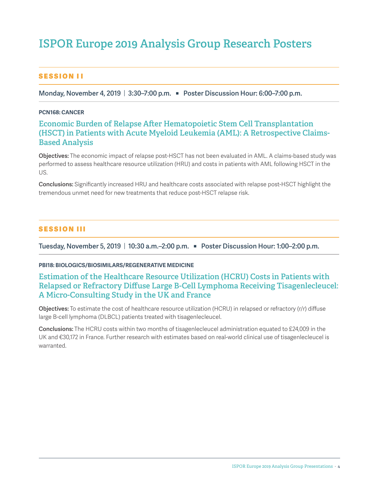# **ISPOR Europe 2019 Analysis Group Research Posters**

#### SESSION II

**Monday, November 4, 2019** | **3:30–7:00 p.m. Q Poster Discussion Hour: 6:00–7:00 p.m.**

#### **PCN168: CANCER**

# **Economic Burden of Relapse After Hematopoietic Stem Cell Transplantation (HSCT) in Patients with Acute Myeloid Leukemia (AML): A Retrospective Claims-Based Analysis**

**Objectives:** The economic impact of relapse post-HSCT has not been evaluated in AML. A claims-based study was performed to assess healthcare resource utilization (HRU) and costs in patients with AML following HSCT in the US.

**Conclusions:** Significantly increased HRU and healthcare costs associated with relapse post-HSCT highlight the tremendous unmet need for new treatments that reduce post-HSCT relapse risk.

#### **SESSION III**

**Tuesday, November 5, 2019** | **10:30 a.m.–2:00 p.m.** Q **Poster Discussion Hour: 1:00–2:00 p.m.**

**PBI18: BIOLOGICS/BIOSIMILARS/REGENERATIVE MEDICINE**

# **Estimation of the Healthcare Resource Utilization (HCRU) Costs in Patients with Relapsed or Refractory Diffuse Large B-Cell Lymphoma Receiving Tisagenlecleucel: A Micro-Consulting Study in the UK and France**

**Objectives:** To estimate the cost of healthcare resource utilization (HCRU) in relapsed or refractory (r/r) diffuse large B-cell lymphoma (DLBCL) patients treated with tisagenlecleucel.

**Conclusions:** The HCRU costs within two months of tisagenlecleucel administration equated to £24,009 in the UK and €30,172 in France. Further research with estimates based on real-world clinical use of tisagenlecleucel is warranted.